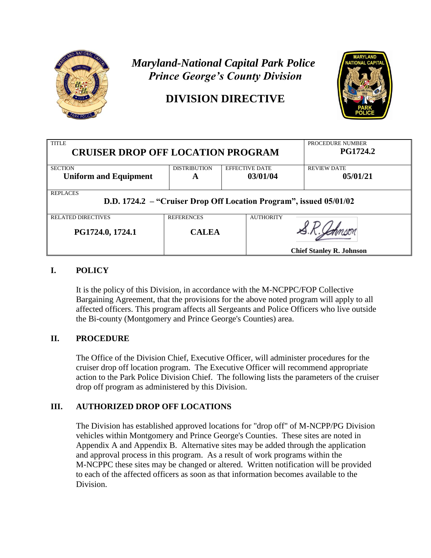

# *Maryland-National Capital Park Police Prince George's County Division*

# **DIVISION DIRECTIVE**



| <b>TITLE</b><br><b>CRUISER DROP OFF LOCATION PROGRAM</b>                              |                     |                       | PROCEDURE NUMBER<br><b>PG1724.2</b> |
|---------------------------------------------------------------------------------------|---------------------|-----------------------|-------------------------------------|
| <b>SECTION</b>                                                                        | <b>DISTRIBUTION</b> | <b>EFFECTIVE DATE</b> | <b>REVIEW DATE</b>                  |
| <b>Uniform and Equipment</b>                                                          | A                   | 03/01/04              | 05/01/21                            |
| <b>REPLACES</b><br>D.D. 1724.2 – "Cruiser Drop Off Location Program", issued 05/01/02 |                     |                       |                                     |
| <b>RELATED DIRECTIVES</b>                                                             | <b>REFERENCES</b>   | <b>AUTHORITY</b>      |                                     |
| PG1724.0, 1724.1                                                                      | <b>CALEA</b>        |                       |                                     |
|                                                                                       |                     |                       | <b>Chief Stanley R. Johnson</b>     |

### **I. POLICY**

It is the policy of this Division, in accordance with the M-NCPPC/FOP Collective Bargaining Agreement, that the provisions for the above noted program will apply to all affected officers. This program affects all Sergeants and Police Officers who live outside the Bi-county (Montgomery and Prince George's Counties) area.

# **II. PROCEDURE**

The Office of the Division Chief, Executive Officer, will administer procedures for the cruiser drop off location program. The Executive Officer will recommend appropriate action to the Park Police Division Chief. The following lists the parameters of the cruiser drop off program as administered by this Division.

# **III. AUTHORIZED DROP OFF LOCATIONS**

The Division has established approved locations for "drop off" of M-NCPP/PG Division vehicles within Montgomery and Prince George's Counties. These sites are noted in Appendix A and Appendix B. Alternative sites may be added through the application and approval process in this program. As a result of work programs within the M-NCPPC these sites may be changed or altered. Written notification will be provided to each of the affected officers as soon as that information becomes available to the Division.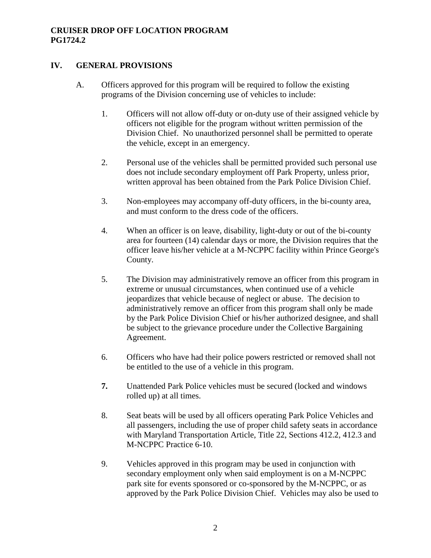#### **CRUISER DROP OFF LOCATION PROGRAM PG1724.2**

#### **IV. GENERAL PROVISIONS**

- A. Officers approved for this program will be required to follow the existing programs of the Division concerning use of vehicles to include:
	- 1. Officers will not allow off-duty or on-duty use of their assigned vehicle by officers not eligible for the program without written permission of the Division Chief. No unauthorized personnel shall be permitted to operate the vehicle, except in an emergency.
	- 2. Personal use of the vehicles shall be permitted provided such personal use does not include secondary employment off Park Property, unless prior, written approval has been obtained from the Park Police Division Chief.
	- 3. Non-employees may accompany off-duty officers, in the bi-county area, and must conform to the dress code of the officers.
	- 4. When an officer is on leave, disability, light-duty or out of the bi-county area for fourteen (14) calendar days or more, the Division requires that the officer leave his/her vehicle at a M-NCPPC facility within Prince George's County.
	- 5. The Division may administratively remove an officer from this program in extreme or unusual circumstances, when continued use of a vehicle jeopardizes that vehicle because of neglect or abuse. The decision to administratively remove an officer from this program shall only be made by the Park Police Division Chief or his/her authorized designee, and shall be subject to the grievance procedure under the Collective Bargaining Agreement.
	- 6. Officers who have had their police powers restricted or removed shall not be entitled to the use of a vehicle in this program.
	- **7.** Unattended Park Police vehicles must be secured (locked and windows rolled up) at all times.
	- 8. Seat beats will be used by all officers operating Park Police Vehicles and all passengers, including the use of proper child safety seats in accordance with Maryland Transportation Article, Title 22, Sections 412.2, 412.3 and M-NCPPC Practice 6-10.
	- 9. Vehicles approved in this program may be used in conjunction with secondary employment only when said employment is on a M-NCPPC park site for events sponsored or co-sponsored by the M-NCPPC, or as approved by the Park Police Division Chief. Vehicles may also be used to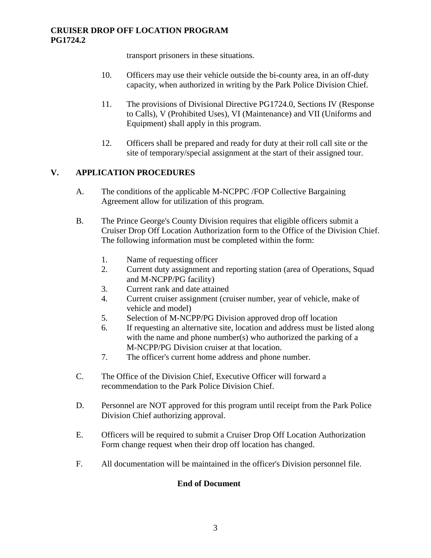transport prisoners in these situations.

- 10. Officers may use their vehicle outside the bi-county area, in an off-duty capacity, when authorized in writing by the Park Police Division Chief.
- 11. The provisions of Divisional Directive PG1724.0, Sections IV (Response to Calls), V (Prohibited Uses), VI (Maintenance) and VII (Uniforms and Equipment) shall apply in this program.
- 12. Officers shall be prepared and ready for duty at their roll call site or the site of temporary/special assignment at the start of their assigned tour.

# **V. APPLICATION PROCEDURES**

- A. The conditions of the applicable M-NCPPC /FOP Collective Bargaining Agreement allow for utilization of this program.
- B. The Prince George's County Division requires that eligible officers submit a Cruiser Drop Off Location Authorization form to the Office of the Division Chief. The following information must be completed within the form:
	- 1. Name of requesting officer
	- 2. Current duty assignment and reporting station (area of Operations, Squad and M-NCPP/PG facility)
	- 3. Current rank and date attained
	- 4. Current cruiser assignment (cruiser number, year of vehicle, make of vehicle and model)
	- 5. Selection of M-NCPP/PG Division approved drop off location
	- 6. If requesting an alternative site, location and address must be listed along with the name and phone number(s) who authorized the parking of a M-NCPP/PG Division cruiser at that location.
	- 7. The officer's current home address and phone number.
- C. The Office of the Division Chief, Executive Officer will forward a recommendation to the Park Police Division Chief.
- D. Personnel are NOT approved for this program until receipt from the Park Police Division Chief authorizing approval.
- E. Officers will be required to submit a Cruiser Drop Off Location Authorization Form change request when their drop off location has changed.
- F. All documentation will be maintained in the officer's Division personnel file.

# **End of Document**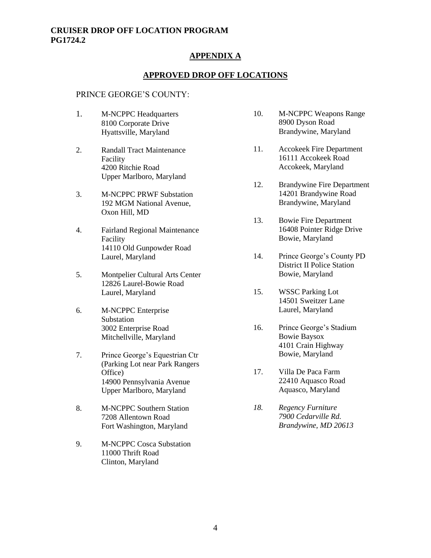#### **CRUISER DROP OFF LOCATION PROGRAM PG1724.2**

#### **APPENDIX A**

#### **APPROVED DROP OFF LOCATIONS**

#### PRINCE GEORGE'S COUNTY:

- 1. M-NCPPC Headquarters 8100 Corporate Drive Hyattsville, Maryland
- 2. Randall Tract Maintenance Facility 4200 Ritchie Road Upper Marlboro, Maryland
- 3. M-NCPPC PRWF Substation 192 MGM National Avenue, Oxon Hill, MD
- 4. Fairland Regional Maintenance Facility 14110 Old Gunpowder Road Laurel, Maryland
- 5. Montpelier Cultural Arts Center 12826 Laurel-Bowie Road Laurel, Maryland
- 6. M-NCPPC Enterprise Substation 3002 Enterprise Road Mitchellville, Maryland
- 7. Prince George's Equestrian Ctr (Parking Lot near Park Rangers Office) 14900 Pennsylvania Avenue Upper Marlboro, Maryland
- 8. M-NCPPC Southern Station 7208 Allentown Road Fort Washington, Maryland
- 9. M-NCPPC Cosca Substation 11000 Thrift Road Clinton, Maryland
- 10. M-NCPPC Weapons Range 8900 Dyson Road Brandywine, Maryland
- 11. Accokeek Fire Department 16111 Accokeek Road Accokeek, Maryland
- 12. Brandywine Fire Department 14201 Brandywine Road Brandywine, Maryland
- 13. Bowie Fire Department 16408 Pointer Ridge Drive Bowie, Maryland
- 14. Prince George's County PD District II Police Station Bowie, Maryland
- 15. WSSC Parking Lot 14501 Sweitzer Lane Laurel, Maryland
- 16. Prince George's Stadium Bowie Baysox 4101 Crain Highway Bowie, Maryland
- 17. Villa De Paca Farm 22410 Aquasco Road Aquasco, Maryland
- *18. Regency Furniture 7900 Cedarville Rd. Brandywine, MD 20613*